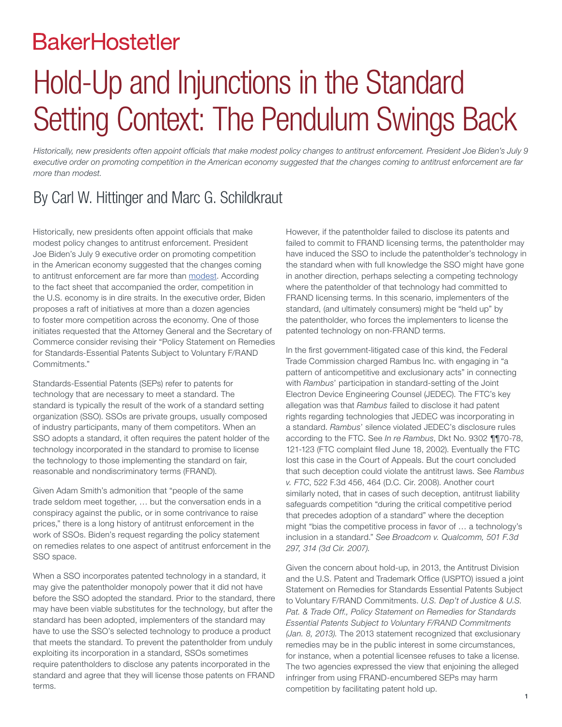### **BakerHostetler**

# Hold-Up and Injunctions in the Standard Setting Context: The Pendulum Swings Back

*Historically, new presidents often appoint officials that make modest policy changes to antitrust enforcement. President Joe Biden's July 9 executive order on promoting competition in the American economy suggested that the changes coming to antitrust enforcement are far more than modest.*

#### By Carl W. Hittinger and Marc G. Schildkraut

Historically, new presidents often appoint officials that make modest policy changes to antitrust enforcement. President Joe Biden's July 9 executive order on promoting competition in the American economy suggested that the changes coming to antitrust enforcement are far more than [modest](https://www.bakerlaw.com/alerts/president-bidens-executive-order-a-revolution-in-antitrust-enforcement). According to the fact sheet that accompanied the order, competition in the U.S. economy is in dire straits. In the executive order, Biden proposes a raft of initiatives at more than a dozen agencies to foster more competition across the economy. One of those initiates requested that the Attorney General and the Secretary of Commerce consider revising their "Policy Statement on Remedies for Standards-Essential Patents Subject to Voluntary F/RAND Commitments."

Standards-Essential Patents (SEPs) refer to patents for technology that are necessary to meet a standard. The standard is typically the result of the work of a standard setting organization (SSO). SSOs are private groups, usually composed of industry participants, many of them competitors. When an SSO adopts a standard, it often requires the patent holder of the technology incorporated in the standard to promise to license the technology to those implementing the standard on fair, reasonable and nondiscriminatory terms (FRAND).

Given Adam Smith's admonition that "people of the same trade seldom meet together, … but the conversation ends in a conspiracy against the public, or in some contrivance to raise prices," there is a long history of antitrust enforcement in the work of SSOs. Biden's request regarding the policy statement on remedies relates to one aspect of antitrust enforcement in the SSO space.

When a SSO incorporates patented technology in a standard, it may give the patentholder monopoly power that it did not have before the SSO adopted the standard. Prior to the standard, there may have been viable substitutes for the technology, but after the standard has been adopted, implementers of the standard may have to use the SSO's selected technology to produce a product that meets the standard. To prevent the patentholder from unduly exploiting its incorporation in a standard, SSOs sometimes require patentholders to disclose any patents incorporated in the standard and agree that they will license those patents on FRAND terms.

However, if the patentholder failed to disclose its patents and failed to commit to FRAND licensing terms, the patentholder may have induced the SSO to include the patentholder's technology in the standard when with full knowledge the SSO might have gone in another direction, perhaps selecting a competing technology where the patentholder of that technology had committed to FRAND licensing terms. In this scenario, implementers of the standard, (and ultimately consumers) might be "held up" by the patentholder, who forces the implementers to license the patented technology on non-FRAND terms.

In the first government-litigated case of this kind, the Federal Trade Commission charged Rambus Inc. with engaging in "a pattern of anticompetitive and exclusionary acts" in connecting with *Rambus*' participation in standard-setting of the Joint Electron Device Engineering Counsel (JEDEC). The FTC's key allegation was that *Rambus* failed to disclose it had patent rights regarding technologies that JEDEC was incorporating in a standard. *Rambus*' silence violated JEDEC's disclosure rules according to the FTC. See *In re Rambus*, Dkt No. 9302 ¶¶70-78, 121-123 (FTC complaint filed June 18, 2002). Eventually the FTC lost this case in the Court of Appeals. But the court concluded that such deception could violate the antitrust laws. See *Rambus v. FTC*, 522 F.3d 456, 464 (D.C. Cir. 2008). Another court similarly noted, that in cases of such deception, antitrust liability safeguards competition "during the critical competitive period that precedes adoption of a standard" where the deception might "bias the competitive process in favor of … a technology's inclusion in a standard." *See Broadcom v. Qualcomm, 501 F.3d 297, 314 (3d Cir. 2007).*

Given the concern about hold-up, in 2013, the Antitrust Division and the U.S. Patent and Trademark Office (USPTO) issued a joint Statement on Remedies for Standards Essential Patents Subject to Voluntary F/RAND Commitments. *U.S. Dep't of Justice & U.S. Pat. & Trade Off., Policy Statement on Remedies for Standards Essential Patents Subject to Voluntary F/RAND Commitments (Jan. 8, 2013).* The 2013 statement recognized that exclusionary remedies may be in the public interest in some circumstances, for instance, when a potential licensee refuses to take a license. The two agencies expressed the view that enjoining the alleged infringer from using FRAND-encumbered SEPs may harm competition by facilitating patent hold up.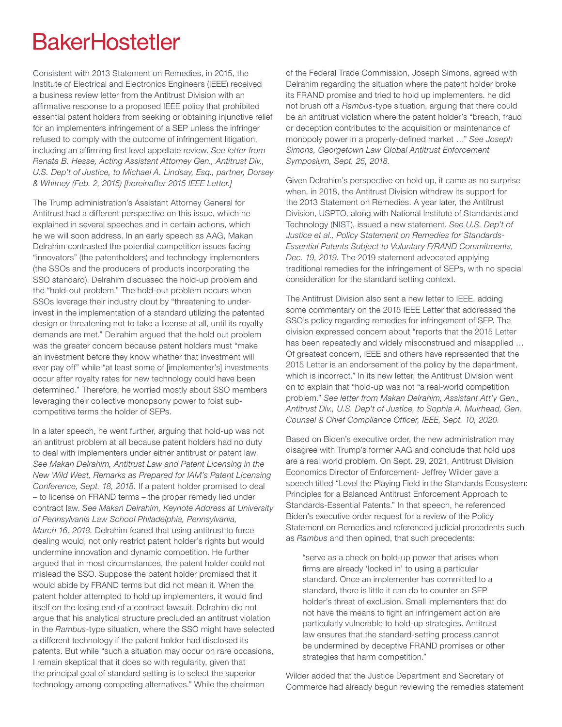## **BakerHostetler**

Consistent with 2013 Statement on Remedies, in 2015, the Institute of Electrical and Electronics Engineers (IEEE) received a business review letter from the Antitrust Division with an affirmative response to a proposed IEEE policy that prohibited essential patent holders from seeking or obtaining injunctive relief for an implementers infringement of a SEP unless the infringer refused to comply with the outcome of infringement litigation, including an affirming first level appellate review. *See letter from Renata B. Hesse, Acting Assistant Attorney Gen., Antitrust Div., U.S. Dep't of Justice, to Michael A. Lindsay, Esq., partner, Dorsey & Whitney (Feb. 2, 2015) [hereinafter 2015 IEEE Letter.]*

The Trump administration's Assistant Attorney General for Antitrust had a different perspective on this issue, which he explained in several speeches and in certain actions, which he we will soon address. In an early speech as AAG, Makan Delrahim contrasted the potential competition issues facing "innovators" (the patentholders) and technology implementers (the SSOs and the producers of products incorporating the SSO standard). Delrahim discussed the hold-up problem and the "hold-out problem." The hold-out problem occurs when SSOs leverage their industry clout by "threatening to underinvest in the implementation of a standard utilizing the patented design or threatening not to take a license at all, until its royalty demands are met." Delrahim argued that the hold out problem was the greater concern because patent holders must "make an investment before they know whether that investment will ever pay off" while "at least some of [implementer's] investments occur after royalty rates for new technology could have been determined." Therefore, he worried mostly about SSO members leveraging their collective monopsony power to foist subcompetitive terms the holder of SEPs.

In a later speech, he went further, arguing that hold-up was not an antitrust problem at all because patent holders had no duty to deal with implementers under either antitrust or patent law. *See Makan Delrahim, Antitrust Law and Patent Licensing in the New Wild West, Remarks as Prepared for IAM's Patent Licensing Conference, Sept. 18, 2018.* If a patent holder promised to deal – to license on FRAND terms – the proper remedy lied under contract law. *See Makan Delrahim, Keynote Address at University of Pennsylvania Law School Philadelphia, Pennsylvania, March 16, 2018.* Delrahim feared that using antitrust to force dealing would, not only restrict patent holder's rights but would undermine innovation and dynamic competition. He further argued that in most circumstances, the patent holder could not mislead the SSO. Suppose the patent holder promised that it would abide by FRAND terms but did not mean it. When the patent holder attempted to hold up implementers, it would find itself on the losing end of a contract lawsuit. Delrahim did not argue that his analytical structure precluded an antitrust violation in the *Rambus*-type situation, where the SSO might have selected a different technology if the patent holder had disclosed its patents. But while "such a situation may occur on rare occasions, I remain skeptical that it does so with regularity, given that the principal goal of standard setting is to select the superior technology among competing alternatives." While the chairman

of the Federal Trade Commission, Joseph Simons, agreed with Delrahim regarding the situation where the patent holder broke its FRAND promise and tried to hold up implementers. he did not brush off a *Rambus*-type situation, arguing that there could be an antitrust violation where the patent holder's "breach, fraud or deception contributes to the acquisition or maintenance of monopoly power in a properly-defined market …" *See Joseph Simons, Georgetown Law Global Antitrust Enforcement Symposium, Sept. 25, 2018.*

Given Delrahim's perspective on hold up, it came as no surprise when, in 2018, the Antitrust Division withdrew its support for the 2013 Statement on Remedies. A year later, the Antitrust Division, USPTO, along with National Institute of Standards and Technology (NIST), issued a new statement. *See U.S. Dep't of Justice et al., Policy Statement on Remedies for Standards-Essential Patents Subject to Voluntary F/RAND Commitments, Dec. 19, 2019.* The 2019 statement advocated applying traditional remedies for the infringement of SEPs, with no special consideration for the standard setting context.

The Antitrust Division also sent a new letter to IEEE, adding some commentary on the 2015 IEEE Letter that addressed the SSO's policy regarding remedies for infringement of SEP. The division expressed concern about "reports that the 2015 Letter has been repeatedly and widely misconstrued and misapplied … Of greatest concern, IEEE and others have represented that the 2015 Letter is an endorsement of the policy by the department, which is incorrect." In its new letter, the Antitrust Division went on to explain that "hold-up was not "a real-world competition problem." *See letter from Makan Delrahim, Assistant Att'y Gen., Antitrust Div., U.S. Dep't of Justice, to Sophia A. Muirhead, Gen. Counsel & Chief Compliance Officer, IEEE, Sept. 10, 2020.*

Based on Biden's executive order, the new administration may disagree with Trump's former AAG and conclude that hold ups are a real world problem. On Sept. 29, 2021, Antitrust Division Economics Director of Enforcement- Jeffrey Wilder gave a speech titled "Level the Playing Field in the Standards Ecosystem: Principles for a Balanced Antitrust Enforcement Approach to Standards-Essential Patents." In that speech, he referenced Biden's executive order request for a review of the Policy Statement on Remedies and referenced judicial precedents such as *Rambus* and then opined, that such precedents:

"serve as a check on hold-up power that arises when firms are already 'locked in' to using a particular standard. Once an implementer has committed to a standard, there is little it can do to counter an SEP holder's threat of exclusion. Small implementers that do not have the means to fight an infringement action are particularly vulnerable to hold-up strategies. Antitrust law ensures that the standard-setting process cannot be undermined by deceptive FRAND promises or other strategies that harm competition."

Wilder added that the Justice Department and Secretary of Commerce had already begun reviewing the remedies statement